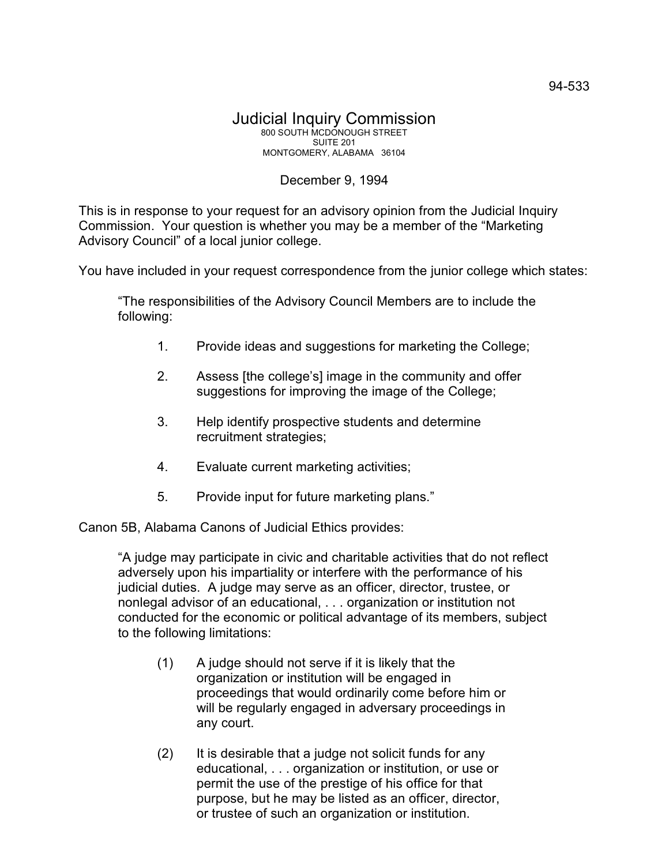## Judicial Inquiry Commission 800 SOUTH MCDONOUGH STREET SUITE 201 MONTGOMERY, ALABAMA 36104

## December 9, 1994

This is in response to your request for an advisory opinion from the Judicial Inquiry Commission. Your question is whether you may be a member of the "Marketing Advisory Council" of a local junior college.

You have included in your request correspondence from the junior college which states:

"The responsibilities of the Advisory Council Members are to include the following:

- 1. Provide ideas and suggestions for marketing the College;
- 2. Assess [the college's] image in the community and offer suggestions for improving the image of the College;
- 3. Help identify prospective students and determine recruitment strategies;
- 4. Evaluate current marketing activities;
- 5. Provide input for future marketing plans."

Canon 5B, Alabama Canons of Judicial Ethics provides:

"A judge may participate in civic and charitable activities that do not reflect adversely upon his impartiality or interfere with the performance of his judicial duties. A judge may serve as an officer, director, trustee, or nonlegal advisor of an educational, . . . organization or institution not conducted for the economic or political advantage of its members, subject to the following limitations:

- (1) A judge should not serve if it is likely that the organization or institution will be engaged in proceedings that would ordinarily come before him or will be regularly engaged in adversary proceedings in any court.
- (2) It is desirable that a judge not solicit funds for any educational, . . . organization or institution, or use or permit the use of the prestige of his office for that purpose, but he may be listed as an officer, director, or trustee of such an organization or institution.